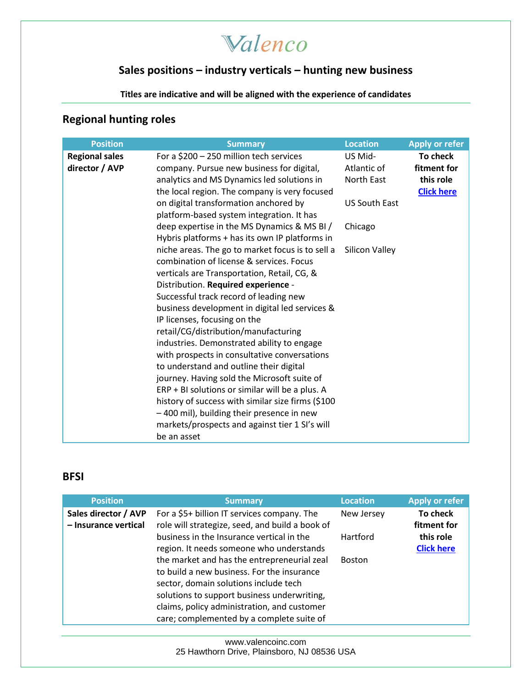Valenco

### **Sales positions – industry verticals – hunting new business**

**Titles are indicative and will be aligned with the experience of candidates**

### **Regional hunting roles**

| <b>Position</b>                         | <b>Summary</b>                                                                                                                                                                                                                                                                                                                                                                                                                                                                                                                                                                                                                                                                                                                                                                     | <b>Location</b>                                                                           | <b>Apply or refer</b>                                     |
|-----------------------------------------|------------------------------------------------------------------------------------------------------------------------------------------------------------------------------------------------------------------------------------------------------------------------------------------------------------------------------------------------------------------------------------------------------------------------------------------------------------------------------------------------------------------------------------------------------------------------------------------------------------------------------------------------------------------------------------------------------------------------------------------------------------------------------------|-------------------------------------------------------------------------------------------|-----------------------------------------------------------|
| <b>Regional sales</b><br>director / AVP | For a \$200 - 250 million tech services<br>company. Pursue new business for digital,<br>analytics and MS Dynamics led solutions in<br>the local region. The company is very focused<br>on digital transformation anchored by<br>platform-based system integration. It has<br>deep expertise in the MS Dynamics & MS BI /<br>Hybris platforms + has its own IP platforms in<br>niche areas. The go to market focus is to sell a<br>combination of license & services. Focus<br>verticals are Transportation, Retail, CG, &<br>Distribution. Required experience -<br>Successful track record of leading new<br>business development in digital led services &<br>IP licenses, focusing on the<br>retail/CG/distribution/manufacturing<br>industries. Demonstrated ability to engage | US Mid-<br>Atlantic of<br>North East<br><b>US South East</b><br>Chicago<br>Silicon Valley | To check<br>fitment for<br>this role<br><b>Click here</b> |
|                                         | with prospects in consultative conversations<br>to understand and outline their digital<br>journey. Having sold the Microsoft suite of<br>$ERP + BI$ solutions or similar will be a plus. A<br>history of success with similar size firms (\$100<br>-400 mil), building their presence in new<br>markets/prospects and against tier 1 SI's will<br>be an asset                                                                                                                                                                                                                                                                                                                                                                                                                     |                                                                                           |                                                           |

#### **BFSI**

| <b>Position</b>                              | <b>Summary</b>                                                                                                                                                                                                                                                                | <b>Location</b> | <b>Apply or refer</b>          |
|----------------------------------------------|-------------------------------------------------------------------------------------------------------------------------------------------------------------------------------------------------------------------------------------------------------------------------------|-----------------|--------------------------------|
| Sales director / AVP<br>- Insurance vertical | For a \$5+ billion IT services company. The<br>role will strategize, seed, and build a book of                                                                                                                                                                                | New Jersey      | To check<br>fitment for        |
|                                              | business in the Insurance vertical in the<br>region. It needs someone who understands                                                                                                                                                                                         | Hartford        | this role<br><b>Click here</b> |
|                                              | the market and has the entrepreneurial zeal<br>to build a new business. For the insurance<br>sector, domain solutions include tech<br>solutions to support business underwriting,<br>claims, policy administration, and customer<br>care; complemented by a complete suite of | <b>Boston</b>   |                                |

[www.valencoinc.com](http://www.valencoinc.com/) 25 Hawthorn Drive, Plainsboro, NJ 08536 USA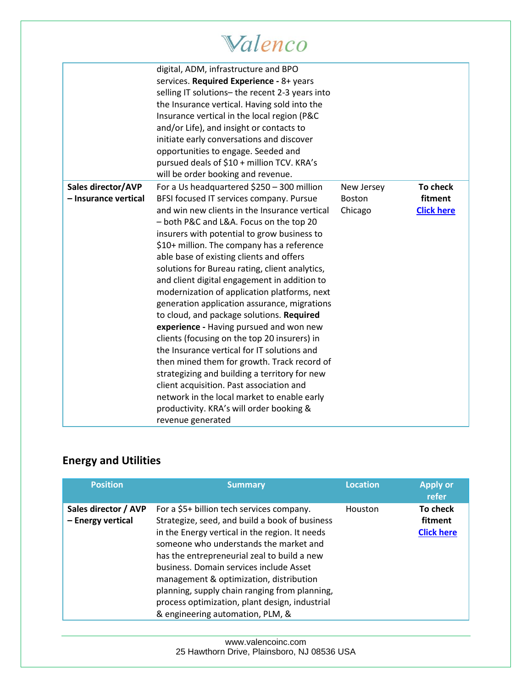# Walenco

|                      | digital, ADM, infrastructure and BPO<br>services. Required Experience - 8+ years<br>selling IT solutions- the recent 2-3 years into<br>the Insurance vertical. Having sold into the<br>Insurance vertical in the local region (P&C<br>and/or Life), and insight or contacts to<br>initiate early conversations and discover<br>opportunities to engage. Seeded and<br>pursued deals of \$10 + million TCV. KRA's<br>will be order booking and revenue.                                                                                                                                                                                                                                                                                                                                                                                                                                                                             |                   |                              |
|----------------------|------------------------------------------------------------------------------------------------------------------------------------------------------------------------------------------------------------------------------------------------------------------------------------------------------------------------------------------------------------------------------------------------------------------------------------------------------------------------------------------------------------------------------------------------------------------------------------------------------------------------------------------------------------------------------------------------------------------------------------------------------------------------------------------------------------------------------------------------------------------------------------------------------------------------------------|-------------------|------------------------------|
| Sales director/AVP   | For a Us headquartered \$250 - 300 million                                                                                                                                                                                                                                                                                                                                                                                                                                                                                                                                                                                                                                                                                                                                                                                                                                                                                         | New Jersey        | To check                     |
| - Insurance vertical | BFSI focused IT services company. Pursue<br>and win new clients in the Insurance vertical<br>- both P&C and L&A. Focus on the top 20<br>insurers with potential to grow business to<br>\$10+ million. The company has a reference<br>able base of existing clients and offers<br>solutions for Bureau rating, client analytics,<br>and client digital engagement in addition to<br>modernization of application platforms, next<br>generation application assurance, migrations<br>to cloud, and package solutions. Required<br>experience - Having pursued and won new<br>clients (focusing on the top 20 insurers) in<br>the Insurance vertical for IT solutions and<br>then mined them for growth. Track record of<br>strategizing and building a territory for new<br>client acquisition. Past association and<br>network in the local market to enable early<br>productivity. KRA's will order booking &<br>revenue generated | Boston<br>Chicago | fitment<br><b>Click here</b> |

### **Energy and Utilities**

| <b>Position</b>                           | <b>Summary</b>                                                                                                                                                                                                                                                                                                                                                                                                                                                      | <b>Location</b> | <b>Apply or</b><br>refer                 |
|-------------------------------------------|---------------------------------------------------------------------------------------------------------------------------------------------------------------------------------------------------------------------------------------------------------------------------------------------------------------------------------------------------------------------------------------------------------------------------------------------------------------------|-----------------|------------------------------------------|
| Sales director / AVP<br>- Energy vertical | For a \$5+ billion tech services company.<br>Strategize, seed, and build a book of business<br>in the Energy vertical in the region. It needs<br>someone who understands the market and<br>has the entrepreneurial zeal to build a new<br>business. Domain services include Asset<br>management & optimization, distribution<br>planning, supply chain ranging from planning,<br>process optimization, plant design, industrial<br>& engineering automation, PLM, & | Houston         | To check<br>fitment<br><b>Click here</b> |

[www.valencoinc.com](http://www.valencoinc.com/) 25 Hawthorn Drive, Plainsboro, NJ 08536 USA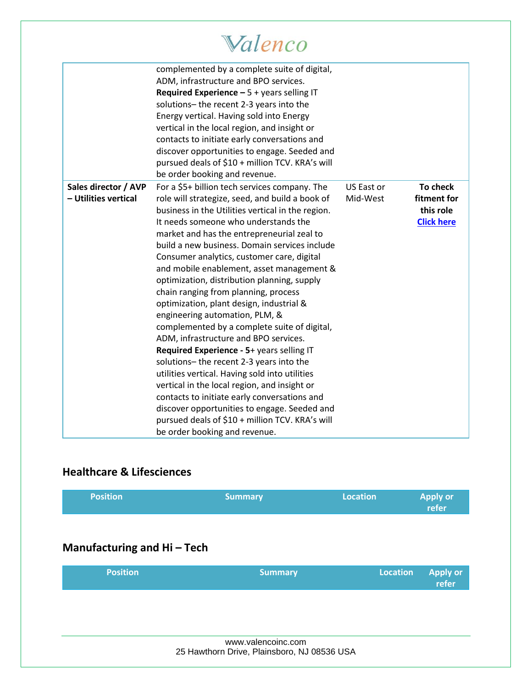# Walenco

|                                              | complemented by a complete suite of digital,<br>ADM, infrastructure and BPO services.<br>Required Experience $-5 +$ years selling IT<br>solutions-the recent 2-3 years into the<br>Energy vertical. Having sold into Energy<br>vertical in the local region, and insight or<br>contacts to initiate early conversations and<br>discover opportunities to engage. Seeded and<br>pursued deals of \$10 + million TCV. KRA's will<br>be order booking and revenue.                                                                                                                                                                                                                                                                                                                                                                                 |                        |                                                           |
|----------------------------------------------|-------------------------------------------------------------------------------------------------------------------------------------------------------------------------------------------------------------------------------------------------------------------------------------------------------------------------------------------------------------------------------------------------------------------------------------------------------------------------------------------------------------------------------------------------------------------------------------------------------------------------------------------------------------------------------------------------------------------------------------------------------------------------------------------------------------------------------------------------|------------------------|-----------------------------------------------------------|
| Sales director / AVP<br>- Utilities vertical | For a \$5+ billion tech services company. The<br>role will strategize, seed, and build a book of<br>business in the Utilities vertical in the region.<br>It needs someone who understands the<br>market and has the entrepreneurial zeal to<br>build a new business. Domain services include<br>Consumer analytics, customer care, digital<br>and mobile enablement, asset management &<br>optimization, distribution planning, supply<br>chain ranging from planning, process<br>optimization, plant design, industrial &<br>engineering automation, PLM, &<br>complemented by a complete suite of digital,<br>ADM, infrastructure and BPO services.<br>Required Experience - 5+ years selling IT<br>solutions-the recent 2-3 years into the<br>utilities vertical. Having sold into utilities<br>vertical in the local region, and insight or | US East or<br>Mid-West | To check<br>fitment for<br>this role<br><b>Click here</b> |
|                                              | contacts to initiate early conversations and<br>discover opportunities to engage. Seeded and<br>pursued deals of \$10 + million TCV. KRA's will<br>be order booking and revenue.                                                                                                                                                                                                                                                                                                                                                                                                                                                                                                                                                                                                                                                                |                        |                                                           |

### **Healthcare & Lifesciences**

| <b>Position</b>           | <b>Summary</b>                                                    | <b>Location</b> | Apply or<br>refer        |
|---------------------------|-------------------------------------------------------------------|-----------------|--------------------------|
|                           |                                                                   |                 |                          |
| Manufacturing and Hi-Tech |                                                                   |                 |                          |
| <b>Position</b>           | <b>Summary</b>                                                    | <b>Location</b> | <b>Apply or</b><br>refer |
|                           |                                                                   |                 |                          |
|                           |                                                                   |                 |                          |
|                           | www.valencoinc.com<br>25 Hawthorn Drive, Plainsboro, NJ 08536 USA |                 |                          |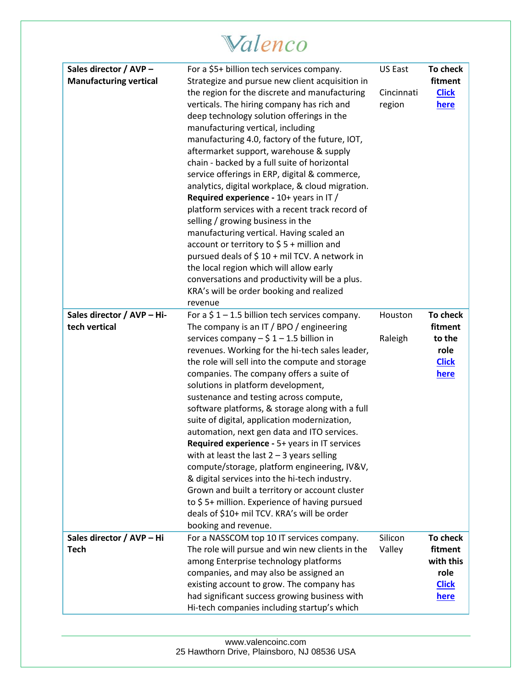# Walenco

| Sales director / AVP -        | For a \$5+ billion tech services company.                                                          | US East    | To check             |
|-------------------------------|----------------------------------------------------------------------------------------------------|------------|----------------------|
| <b>Manufacturing vertical</b> | Strategize and pursue new client acquisition in                                                    |            | fitment              |
|                               | the region for the discrete and manufacturing                                                      | Cincinnati | <b>Click</b>         |
|                               | verticals. The hiring company has rich and                                                         | region     | here                 |
|                               | deep technology solution offerings in the                                                          |            |                      |
|                               | manufacturing vertical, including                                                                  |            |                      |
|                               | manufacturing 4.0, factory of the future, IOT,                                                     |            |                      |
|                               | aftermarket support, warehouse & supply                                                            |            |                      |
|                               | chain - backed by a full suite of horizontal                                                       |            |                      |
|                               | service offerings in ERP, digital & commerce,                                                      |            |                      |
|                               | analytics, digital workplace, & cloud migration.                                                   |            |                      |
|                               | Required experience - 10+ years in IT /                                                            |            |                      |
|                               | platform services with a recent track record of                                                    |            |                      |
|                               | selling / growing business in the                                                                  |            |                      |
|                               | manufacturing vertical. Having scaled an                                                           |            |                      |
|                               | account or territory to $$5 +$ million and                                                         |            |                      |
|                               | pursued deals of $$10 + mil TCV$ . A network in                                                    |            |                      |
|                               | the local region which will allow early                                                            |            |                      |
|                               | conversations and productivity will be a plus.                                                     |            |                      |
|                               | KRA's will be order booking and realized                                                           |            |                      |
|                               | revenue                                                                                            |            |                      |
| Sales director / AVP - Hi-    | For a $$1 - 1.5$ billion tech services company.                                                    | Houston    | <b>To check</b>      |
| tech vertical                 | The company is an IT / BPO / engineering                                                           |            | fitment              |
|                               | services company $-\ $1 - 1.5$ billion in                                                          | Raleigh    | to the               |
|                               | revenues. Working for the hi-tech sales leader,<br>the role will sell into the compute and storage |            | role<br><b>Click</b> |
|                               | companies. The company offers a suite of                                                           |            | <u>here</u>          |
|                               | solutions in platform development,                                                                 |            |                      |
|                               | sustenance and testing across compute,                                                             |            |                      |
|                               | software platforms, & storage along with a full                                                    |            |                      |
|                               | suite of digital, application modernization,                                                       |            |                      |
|                               | automation, next gen data and ITO services.                                                        |            |                      |
|                               | Required experience - 5+ years in IT services                                                      |            |                      |
|                               | with at least the last $2 - 3$ years selling                                                       |            |                      |
|                               | compute/storage, platform engineering, IV&V,                                                       |            |                      |
|                               | & digital services into the hi-tech industry.                                                      |            |                      |
|                               | Grown and built a territory or account cluster                                                     |            |                      |
|                               | to \$5+ million. Experience of having pursued                                                      |            |                      |
|                               | deals of \$10+ mil TCV. KRA's will be order                                                        |            |                      |
|                               | booking and revenue.                                                                               |            |                      |
| Sales director / AVP - Hi     | For a NASSCOM top 10 IT services company.                                                          | Silicon    | <b>To check</b>      |
| <b>Tech</b>                   | The role will pursue and win new clients in the                                                    | Valley     | fitment              |
|                               | among Enterprise technology platforms                                                              |            | with this            |
|                               | companies, and may also be assigned an                                                             |            | role                 |
|                               | existing account to grow. The company has                                                          |            | <b>Click</b>         |
|                               | had significant success growing business with                                                      |            | here                 |
|                               | Hi-tech companies including startup's which                                                        |            |                      |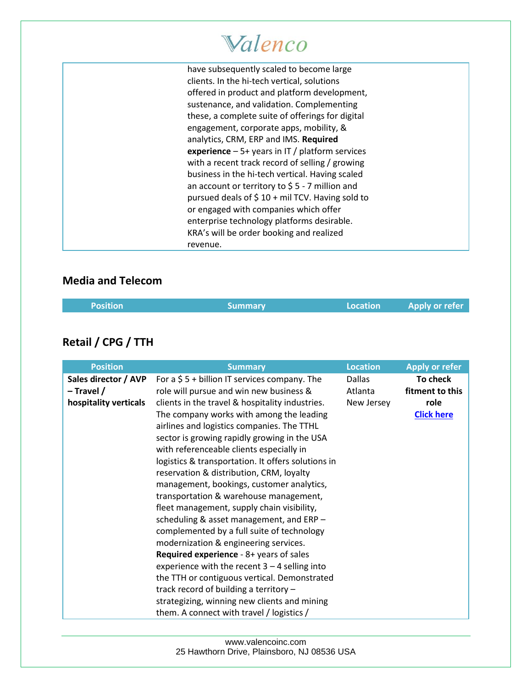# Valenco

have subsequently scaled to become large clients. In the hi-tech vertical, solutions offered in product and platform development, sustenance, and validation. Complementing these, a complete suite of offerings for digital engagement, corporate apps, mobility, & analytics, CRM, ERP and IMS. **Required experience** – 5+ years in IT / platform services with a recent track record of selling / growing business in the hi-tech vertical. Having scaled an account or territory to \$ 5 - 7 million and pursued deals of  $$10 + mil TCV$ . Having sold to or engaged with companies which offer enterprise technology platforms desirable. KRA's will be order booking and realized revenue.

#### **Media and Telecom**

| <b>Position</b> | <b>Summary</b> | Location | Apply or refer |
|-----------------|----------------|----------|----------------|
|                 |                |          |                |

### **Retail / CPG / TTH**

| <b>Position</b>                                               | <b>Summary</b>                                                                                                                                                                                                                                                                                                                                                                                                                                                                                                             | <b>Location</b>                        | <b>Apply or refer</b>                                    |
|---------------------------------------------------------------|----------------------------------------------------------------------------------------------------------------------------------------------------------------------------------------------------------------------------------------------------------------------------------------------------------------------------------------------------------------------------------------------------------------------------------------------------------------------------------------------------------------------------|----------------------------------------|----------------------------------------------------------|
| Sales director / AVP<br>$-$ Travel /<br>hospitality verticals | For a $$5 + billion$ IT services company. The<br>role will pursue and win new business &<br>clients in the travel & hospitality industries.<br>The company works with among the leading<br>airlines and logistics companies. The TTHL<br>sector is growing rapidly growing in the USA<br>with referenceable clients especially in<br>logistics & transportation. It offers solutions in<br>reservation & distribution, CRM, loyalty<br>management, bookings, customer analytics,<br>transportation & warehouse management, | <b>Dallas</b><br>Atlanta<br>New Jersey | To check<br>fitment to this<br>role<br><b>Click here</b> |
|                                                               | fleet management, supply chain visibility,<br>scheduling & asset management, and ERP -<br>complemented by a full suite of technology<br>modernization & engineering services.<br><b>Required experience</b> - 8+ years of sales<br>experience with the recent $3 - 4$ selling into<br>the TTH or contiguous vertical. Demonstrated<br>track record of building a territory -<br>strategizing, winning new clients and mining<br>them. A connect with travel / logistics /                                                  |                                        |                                                          |